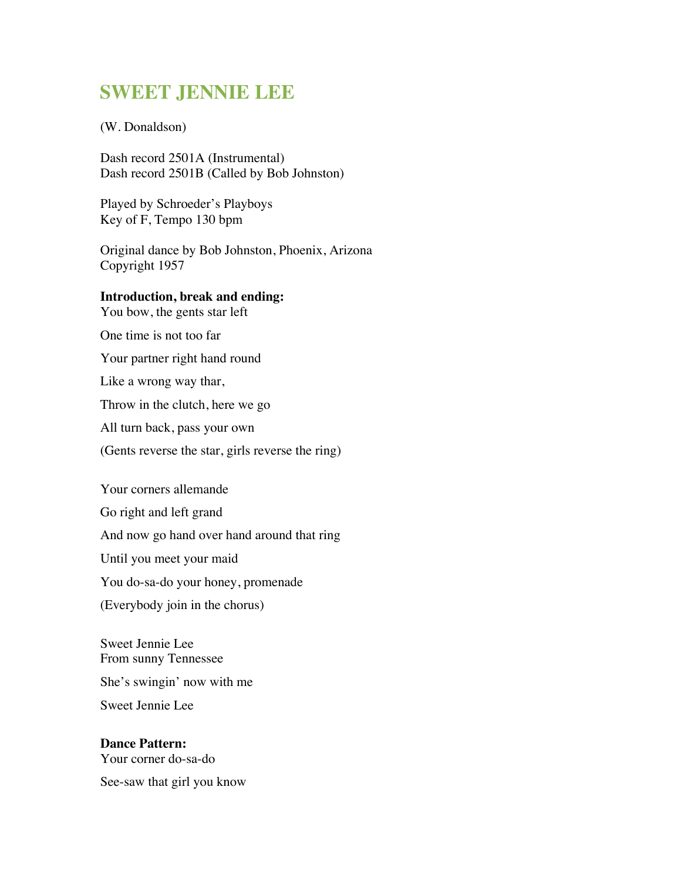## SWEET JENNIE LEE

(W. Donaldson)

Dash record 2501A (Instrumental) Dash record 2501B (Called by Bob Johnston)

Played by Schroeder's Playboys Key of F, Tempo 130 bpm

Original dance by Bob Johnston, Phoenix, Arizona Copyright 1957

## **Introduction, break and ending:**

You bow, the gents star left

One time is not too far

Your partner right hand round

Like a wrong way thar,

Throw in the clutch, here we go

All turn back, pass your own

(Gents reverse the star, girls reverse the ring)

Your corners allemande

Go right and left grand

And now go hand over hand around that ring

Until you meet your maid

You do-sa-do your honey, promenade

(Everybody join in the chorus)

Sweet Jennie Lee From sunny Tennessee

She's swingin' now with me

Sweet Jennie Lee

**Dance Pattern:** Your corner do-sa-do

See-saw that girl you know